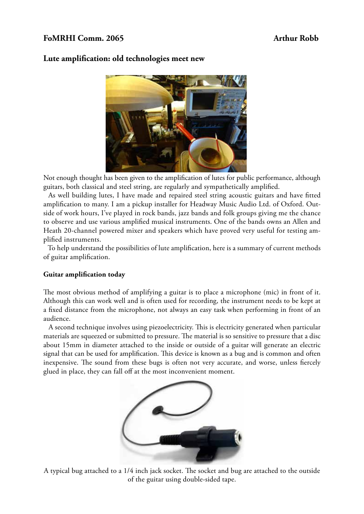# FoMRHI Comm. 2065 **Arthur Robb**



## **Lute amplification: old technologies meet new**

Not enough thought has been given to the amplification of lutes for public performance, although guitars, both classical and steel string, are regularly and sympathetically amplified.

 As well building lutes, I have made and repaired steel string acoustic guitars and have fitted amplification to many. I am a pickup installer for Headway Music Audio Ltd. of Oxford. Outside of work hours, I've played in rock bands, jazz bands and folk groups giving me the chance to observe and use various amplified musical instruments. One of the bands owns an Allen and Heath 20-channel powered mixer and speakers which have proved very useful for testing amplified instruments.

 To help understand the possibilities of lute amplification, here is a summary of current methods of guitar amplification.

## **Guitar amplification today**

The most obvious method of amplifying a guitar is to place a microphone (mic) in front of it. Although this can work well and is often used for recording, the instrument needs to be kept at a fixed distance from the microphone, not always an easy task when performing in front of an audience.

 A second technique involves using piezoelectricity. This is electricity generated when particular materials are squeezed or submitted to pressure. The material is so sensitive to pressure that a disc about 15mm in diameter attached to the inside or outside of a guitar will generate an electric signal that can be used for amplification. This device is known as a bug and is common and often inexpensive. The sound from these bugs is often not very accurate, and worse, unless fiercely glued in place, they can fall off at the most inconvenient moment.



A typical bug attached to a 1/4 inch jack socket. The socket and bug are attached to the outside of the guitar using double-sided tape.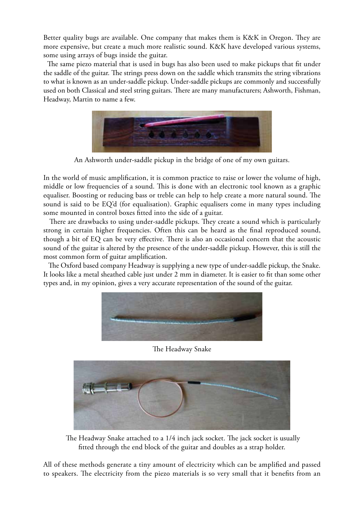Better quality bugs are available. One company that makes them is K&K in Oregon. They are more expensive, but create a much more realistic sound. K&K have developed various systems, some using arrays of bugs inside the guitar.

 The same piezo material that is used in bugs has also been used to make pickups that fit under the saddle of the guitar. The strings press down on the saddle which transmits the string vibrations to what is known as an under-saddle pickup. Under-saddle pickups are commonly and successfully used on both Classical and steel string guitars. There are many manufacturers; Ashworth, Fishman, Headway, Martin to name a few.



An Ashworth under-saddle pickup in the bridge of one of my own guitars.

In the world of music amplification, it is common practice to raise or lower the volume of high, middle or low frequencies of a sound. This is done with an electronic tool known as a graphic equaliser. Boosting or reducing bass or treble can help to help create a more natural sound. The sound is said to be EQ'd (for equalisation). Graphic equalisers come in many types including some mounted in control boxes fitted into the side of a guitar.

 There are drawbacks to using under-saddle pickups. They create a sound which is particularly strong in certain higher frequencies. Often this can be heard as the final reproduced sound, though a bit of EQ can be very effective. There is also an occasional concern that the acoustic sound of the guitar is altered by the presence of the under-saddle pickup. However, this is still the most common form of guitar amplification.

 The Oxford based company Headway is supplying a new type of under-saddle pickup, the Snake. It looks like a metal sheathed cable just under 2 mm in diameter. It is easier to fit than some other types and, in my opinion, gives a very accurate representation of the sound of the guitar.



## The Headway Snake



 The Headway Snake attached to a 1/4 inch jack socket. The jack socket is usually fitted through the end block of the guitar and doubles as a strap holder.

All of these methods generate a tiny amount of electricity which can be amplified and passed to speakers. The electricity from the piezo materials is so very small that it benefits from an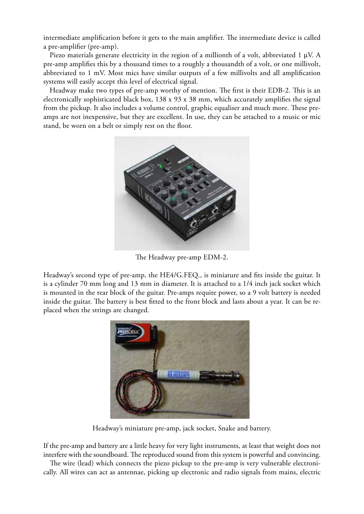intermediate amplification before it gets to the main amplifier. The intermediate device is called a pre-amplifier (pre-amp).

 Piezo materials generate electricity in the region of a millionth of a volt, abbreviated 1 μV. A pre-amp amplifies this by a thousand times to a roughly a thousandth of a volt, or one millivolt, abbreviated to 1 mV. Most mics have similar outputs of a few millivolts and all amplification systems will easily accept this level of electrical signal.

 Headway make two types of pre-amp worthy of mention. The first is their EDB-2. This is an electronically sophisticated black box,  $138 \times 93 \times 38$  mm, which accurately amplifies the signal from the pickup. It also includes a volume control, graphic equaliser and much more. These preamps are not inexpensive, but they are excellent. In use, they can be attached to a music or mic stand, be worn on a belt or simply rest on the floor.



The Headway pre-amp EDM-2.

Headway's second type of pre-amp, the HE4/G.FEQ., is miniature and fits inside the guitar. It is a cylinder 70 mm long and 13 mm in diameter. It is attached to a 1/4 inch jack socket which is mounted in the rear block of the guitar. Pre-amps require power, so a 9 volt battery is needed inside the guitar. The battery is best fitted to the front block and lasts about a year. It can be replaced when the strings are changed.



Headway's miniature pre-amp, jack socket, Snake and battery.

If the pre-amp and battery are a little heavy for very light instruments, at least that weight does not interfere with the soundboard. The reproduced sound from this system is powerful and convincing.

 The wire (lead) which connects the piezo pickup to the pre-amp is very vulnerable electronically. All wires can act as antennae, picking up electronic and radio signals from mains, electric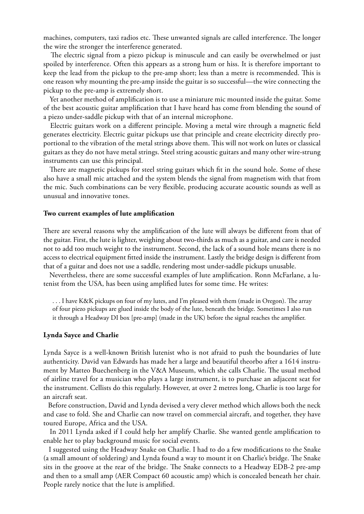machines, computers, taxi radios etc. These unwanted signals are called interference. The longer the wire the stronger the interference generated.

 The electric signal from a piezo pickup is minuscule and can easily be overwhelmed or just spoiled by interference. Often this appears as a strong hum or hiss. It is therefore important to keep the lead from the pickup to the pre-amp short; less than a metre is recommended. This is one reason why mounting the pre-amp inside the guitar is so successful—the wire connecting the pickup to the pre-amp is extremely short.

 Yet another method of amplification is to use a miniature mic mounted inside the guitar. Some of the best acoustic guitar amplification that I have heard has come from blending the sound of a piezo under-saddle pickup with that of an internal microphone.

 Electric guitars work on a different principle. Moving a metal wire through a magnetic field generates electricity. Electric guitar pickups use that principle and create electricity directly proportional to the vibration of the metal strings above them. This will not work on lutes or classical guitars as they do not have metal strings. Steel string acoustic guitars and many other wire-strung instruments can use this principal.

 There are magnetic pickups for steel string guitars which fit in the sound hole. Some of these also have a small mic attached and the system blends the signal from magnetism with that from the mic. Such combinations can be very flexible, producing accurate acoustic sounds as well as unusual and innovative tones.

### **Two current examples of lute amplification**

There are several reasons why the amplification of the lute will always be different from that of the guitar. First, the lute is lighter, weighing about two-thirds as much as a guitar, and care is needed not to add too much weight to the instrument. Second, the lack of a sound hole means there is no access to electrical equipment fitted inside the instrument. Lastly the bridge design is different from that of a guitar and does not use a saddle, rendering most under-saddle pickups unusable.

 Nevertheless, there are some successful examples of lute amplification. Ronn McFarlane, a lutenist from the USA, has been using amplified lutes for some time. He writes:

. . . I have K&K pickups on four of my lutes, and I'm pleased with them (made in Oregon). The array of four piezo pickups are glued inside the body of the lute, beneath the bridge. Sometimes I also run it through a Headway DI box [pre-amp] (made in the UK) before the signal reaches the amplifier.

#### **Lynda Sayce and Charlie**

Lynda Sayce is a well-known British lutenist who is not afraid to push the boundaries of lute authenticity. David van Edwards has made her a large and beautiful theorbo after a 1614 instrument by Matteo Buechenberg in the V&A Museum, which she calls Charlie. The usual method of airline travel for a musician who plays a large instrument, is to purchase an adjacent seat for the instrument. Cellists do this regularly. However, at over 2 metres long, Charlie is too large for an aircraft seat.

 Before construction, David and Lynda devised a very clever method which allows both the neck and case to fold. She and Charlie can now travel on commercial aircraft, and together, they have toured Europe, Africa and the USA.

 In 2011 Lynda asked if I could help her amplify Charlie. She wanted gentle amplification to enable her to play background music for social events.

 I suggested using the Headway Snake on Charlie. I had to do a few modifications to the Snake (a small amount of soldering) and Lynda found a way to mount it on Charlie's bridge. The Snake sits in the groove at the rear of the bridge. The Snake connects to a Headway EDB-2 pre-amp and then to a small amp (AER Compact 60 acoustic amp) which is concealed beneath her chair. People rarely notice that the lute is amplified.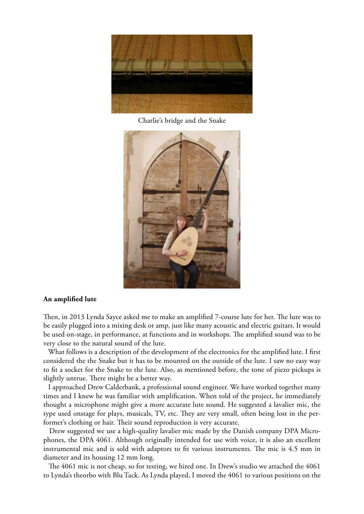

Charlie's bridge and the Snake



## **An amplified lute**

Then, in 2013 Lynda Sayce asked me to make an amplified 7-course lute for her. The lute was to be easily plugged into a mixing desk or amp, just like many acoustic and electric guitars. It would be used on-stage, in performance, at functions and in workshops. The amplified sound was to be very close to the natural sound of the lute.

 What follows is a description of the development of the electronics for the amplified lute. I first considered the the Snake but it has to be mounted on the outside of the lute. I saw no easy way to fit a socket for the Snake to the lute. Also, as mentioned before, the tone of piezo pickups is slightly untrue. There might be a better way.

 I approached Drew Calderbank, a professional sound engineer. We have worked together many times and I knew he was familiar with amplification. When told of the project, he immediately thought a microphone might give a more accurate lute sound. He suggested a lavalier mic, the type used onstage for plays, musicals, TV, etc. They are very small, often being lost in the performer's clothing or hair. Their sound reproduction is very accurate.

 Drew suggested we use a high-quality lavalier mic made by the Danish company DPA Microphones, the DPA 4061. Although originally intended for use with voice, it is also an excellent instrumental mic and is sold with adaptors to fit various instruments. The mic is 4.5 mm in diameter and its housing 12 mm long.

 The 4061 mic is not cheap, so for testing, we hired one. In Drew's studio we attached the 4061 to Lynda's theorbo with Blu Tack. As Lynda played, I moved the 4061 to various positions on the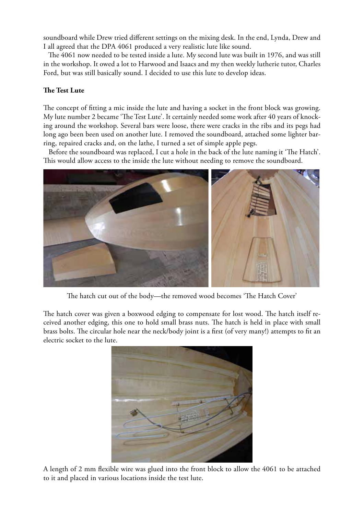soundboard while Drew tried different settings on the mixing desk. In the end, Lynda, Drew and I all agreed that the DPA 4061 produced a very realistic lute like sound.

 The 4061 now needed to be tested inside a lute. My second lute was built in 1976, and was still in the workshop. It owed a lot to Harwood and Isaacs and my then weekly lutherie tutor, Charles Ford, but was still basically sound. I decided to use this lute to develop ideas.

## **The Test Lute**

The concept of fitting a mic inside the lute and having a socket in the front block was growing. My lute number 2 became 'The Test Lute'. It certainly needed some work after 40 years of knocking around the workshop. Several bars were loose, there were cracks in the ribs and its pegs had long ago been been used on another lute. I removed the soundboard, attached some lighter barring, repaired cracks and, on the lathe, I turned a set of simple apple pegs.

 Before the soundboard was replaced, I cut a hole in the back of the lute naming it 'The Hatch'. This would allow access to the inside the lute without needing to remove the soundboard.



The hatch cut out of the body—the removed wood becomes 'The Hatch Cover'

The hatch cover was given a boxwood edging to compensate for lost wood. The hatch itself received another edging, this one to hold small brass nuts. The hatch is held in place with small brass bolts. The circular hole near the neck/body joint is a first (of very many!) attempts to fit an electric socket to the lute.



A length of 2 mm flexible wire was glued into the front block to allow the 4061 to be attached to it and placed in various locations inside the test lute.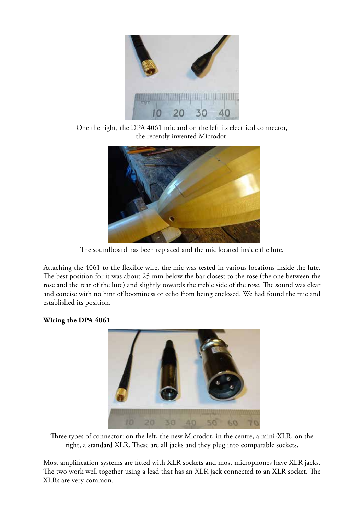

One the right, the DPA 4061 mic and on the left its electrical connector, the recently invented Microdot.



The soundboard has been replaced and the mic located inside the lute.

Attaching the 4061 to the flexible wire, the mic was tested in various locations inside the lute. The best position for it was about 25 mm below the bar closest to the rose (the one between the rose and the rear of the lute) and slightly towards the treble side of the rose. The sound was clear and concise with no hint of boominess or echo from being enclosed. We had found the mic and established its position.

# **Wiring the DPA 4061**



Three types of connector: on the left, the new Microdot, in the centre, a mini-XLR, on the right, a standard XLR. These are all jacks and they plug into comparable sockets.

Most amplification systems are fitted with XLR sockets and most microphones have XLR jacks. The two work well together using a lead that has an XLR jack connected to an XLR socket. The XLRs are very common.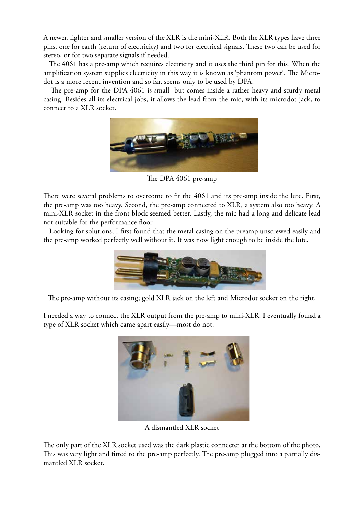A newer, lighter and smaller version of the XLR is the mini-XLR. Both the XLR types have three pins, one for earth (return of electricity) and two for electrical signals. These two can be used for stereo, or for two separate signals if needed.

 The 4061 has a pre-amp which requires electricity and it uses the third pin for this. When the amplification system supplies electricity in this way it is known as 'phantom power'. The Microdot is a more recent invention and so far, seems only to be used by DPA.

 The pre-amp for the DPA 4061 is small but comes inside a rather heavy and sturdy metal casing. Besides all its electrical jobs, it allows the lead from the mic, with its microdot jack, to connect to a XLR socket.



The DPA 4061 pre-amp

There were several problems to overcome to fit the 4061 and its pre-amp inside the lute. First, the pre-amp was too heavy. Second, the pre-amp connected to XLR, a system also too heavy. A mini-XLR socket in the front block seemed better. Lastly, the mic had a long and delicate lead not suitable for the performance floor.

 Looking for solutions, I first found that the metal casing on the preamp unscrewed easily and the pre-amp worked perfectly well without it. It was now light enough to be inside the lute.



The pre-amp without its casing; gold XLR jack on the left and Microdot socket on the right.

I needed a way to connect the XLR output from the pre-amp to mini-XLR. I eventually found a type of XLR socket which came apart easily—most do not.



A dismantled XLR socket

The only part of the XLR socket used was the dark plastic connecter at the bottom of the photo. This was very light and fitted to the pre-amp perfectly. The pre-amp plugged into a partially dismantled XLR socket.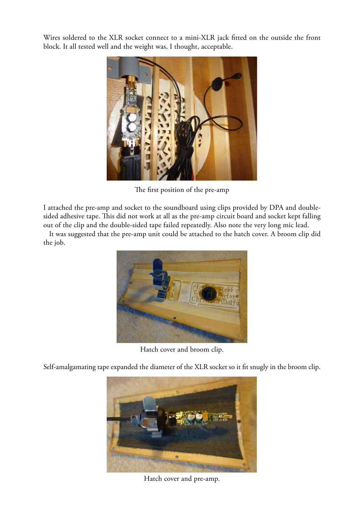Wires soldered to the XLR socket connect to a mini-XLR jack fitted on the outside the front block. It all tested well and the weight was, I thought, acceptable.



The first position of the pre-amp

I attached the pre-amp and socket to the soundboard using clips provided by DPA and doublesided adhesive tape. This did not work at all as the pre-amp circuit board and socket kept falling out of the clip and the double-sided tape failed repeatedly. Also note the very long mic lead.

 It was suggested that the pre-amp unit could be attached to the hatch cover. A broom clip did the job.



Hatch cover and broom clip.

Self-amalgamating tape expanded the diameter of the XLR socket so it fit snugly in the broom clip.



Hatch cover and pre-amp.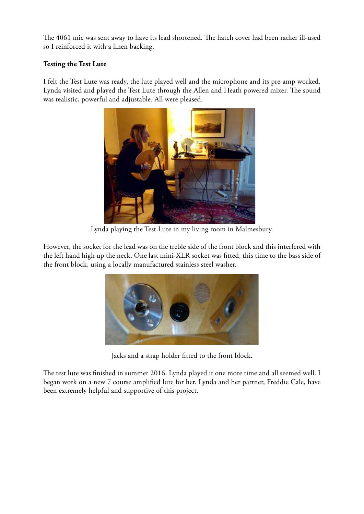The 4061 mic was sent away to have its lead shortened. The hatch cover had been rather ill-used so I reinforced it with a linen backing.

# **Testing the Test Lute**

I felt the Test Lute was ready, the lute played well and the microphone and its pre-amp worked. Lynda visited and played the Test Lute through the Allen and Heath powered mixer. The sound was realistic, powerful and adjustable. All were pleased.



Lynda playing the Test Lute in my living room in Malmesbury.

However, the socket for the lead was on the treble side of the front block and this interfered with the left hand high up the neck. One last mini-XLR socket was fitted, this time to the bass side of the front block, using a locally manufactured stainless steel washer.



Jacks and a strap holder fitted to the front block.

The test lute was finished in summer 2016. Lynda played it one more time and all seemed well. I began work on a new 7 course amplified lute for her. Lynda and her partner, Freddie Cale, have been extremely helpful and supportive of this project.